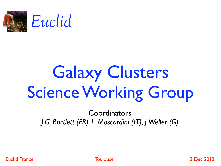

# Galaxy Clusters Science Working Group

Coordinators *J.G. Bartlett (FR), L. Moscardini (IT), J. Weller (G)*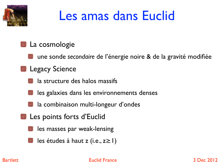

### Les amas dans Euclid

#### La cosmologie

une sonde *secondaire* de l'énergie noire & de la gravité modifiée

#### **Legacy Science**

la structure des halos massifs

- les galaxies dans les environnements denses
- la combinaison multi-longeur d'ondes
- Les points forts d'Euclid
	- les masses par weak-lensing
	- les études à haut z (i.e., z≥1)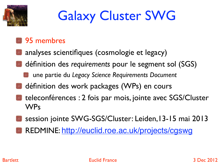

## Galaxy Cluster SWG

### **95 membres**

- analyses scientifiques (cosmologie et legacy)
- définition des *requirements* pour le segment sol (SGS)
	- une partie du *Legacy Science Requirements Document*
- définition des work packages (WPs) en cours
- teleconférences : 2 fois par mois, jointe avec SGS/Cluster WPs
- session jointe SWG-SGS/Cluster: Leiden,13-15 mai 2013
- REDMINE: http://euclid.roe.ac.uk/projects/cgswg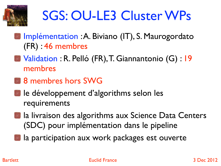

## SGS: OU-LE3 Cluster WPs

- Implémentation : A. Biviano (IT), S. Maurogordato (FR) : 46 membres
- Validation : R. Pelló (FR), T. Giannantonio (G) : 19 membres
- **8** membres hors SWG
- le développement d'algorithms selon les requirements
- la livraison des algorithms aux Science Data Centers (SDC) pour implémentation dans le pipeline
- la participation aux work packages est ouverte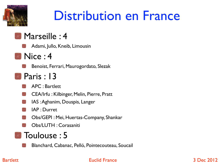

## Distribution en France

### **Marseille: 4**

- Adami, Jullo, Kneib, Limousin
- **Nice : 4**

Benoist, Ferrari, Maurogordato, Slezak

- **Paris : 13** 
	- APC : Bartlett
	- CEA/Irfu : Kilbinger, Melin, Pierre, Pratt
	- IAS : Aghanim, Douspis, Langer
	- IAP : Durret
	- Obs/GEPI : Mei, Huertas-Company, Shankar
	- Obs/LUTH : Corasaniti

### **Toulouse: 5**

Blanchard, Cabanac, Pelló, Pointecouteau, Soucail

#### Bartlett 3 Dec 2012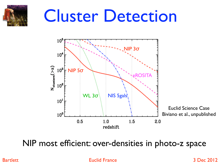#### $\mathcal{D}_{\mathcal{A}}^{(n)}$  ,  $\mathcal{D}_{\mathcal{A}}^{(n)}$  ,  $\mathcal{D}_{\mathcal{A}}^{(n)}$  $\mathbb{R}$  $\mathcal{L}_\mathcal{S}$  and  $\mathcal{L}_\mathcal{S}$  and  $\mathcal{L}_\mathcal{S}$  and  $\mathcal{L}_\mathcal{S}$  and  $\mathcal{L}_\mathcal{S}$  and  $\mathcal{L}_\mathcal{S}$ Cluster Detection



NIP most efficient: over-densities in photo-z space

Bartlett **Euclid France** Euclid France **3 Dec 2012**  $\mathsf{Bartlett}$  Euclid France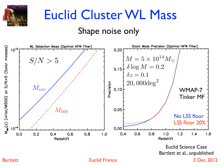

# Euclid Cluster WL Mass

### Shape noise only



Bartlett **Euclid France** Euclid France **3 Dec 2012**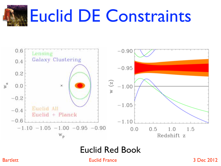



#### $G_{112}$  $G_{23}$  $G_{34}$  $G_{45}$  $G_{56}$  $G_{66}$  $G_{76}$ Euclid Red Book

Bartlett 3 Dec 2012 *QRS#%1(\*&@'(%'#%1()19:/#&(#)>'#G34I#35H"#T&8>)#45('C<#)>'#U!#%1(/):5&()/#1(#)>'#\*9(%)&1(#3G6H#45:5A')':&/'@#,D#G34I#35H#* **5/2/20/2016:00:00 B8:10:00 G8:10:00 G8:10:00 G8:10:00 G9:10:00 G9:20 G9:20** SPCC 20:20